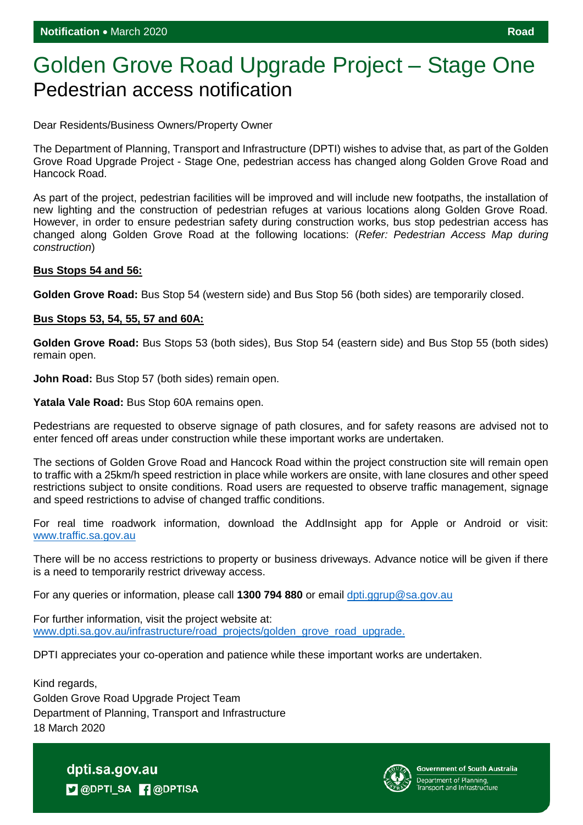## Golden Grove Road Upgrade Project – Stage One Pedestrian access notification

Dear Residents/Business Owners/Property Owner

The Department of Planning, Transport and Infrastructure (DPTI) wishes to advise that, as part of the Golden Grove Road Upgrade Project - Stage One, pedestrian access has changed along Golden Grove Road and Hancock Road.

As part of the project, pedestrian facilities will be improved and will include new footpaths, the installation of new lighting and the construction of pedestrian refuges at various locations along Golden Grove Road. However, in order to ensure pedestrian safety during construction works, bus stop pedestrian access has changed along Golden Grove Road at the following locations: (*Refer: Pedestrian Access Map during construction*)

## **Bus Stops 54 and 56:**

**Golden Grove Road:** Bus Stop 54 (western side) and Bus Stop 56 (both sides) are temporarily closed.

## **Bus Stops 53, 54, 55, 57 and 60A:**

**Golden Grove Road:** Bus Stops 53 (both sides), Bus Stop 54 (eastern side) and Bus Stop 55 (both sides) remain open.

**John Road:** Bus Stop 57 (both sides) remain open.

**Yatala Vale Road:** Bus Stop 60A remains open.

Pedestrians are requested to observe signage of path closures, and for safety reasons are advised not to enter fenced off areas under construction while these important works are undertaken.

The sections of Golden Grove Road and Hancock Road within the project construction site will remain open to traffic with a 25km/h speed restriction in place while workers are onsite, with lane closures and other speed restrictions subject to onsite conditions. Road users are requested to observe traffic management, signage and speed restrictions to advise of changed traffic conditions.

For real time roadwork information, download the AddInsight app for Apple or Android or visit: [www.traffic.sa.gov.au](http://www.traffic.sa.gov.au/)

There will be no access restrictions to property or business driveways. Advance notice will be given if there is a need to temporarily restrict driveway access.

For any queries or information, please call **1300 794 880** or email [dpti.ggrup@sa.gov.au](mailto:dpti.ggrup@sa.gov.au)

For further information, visit the project website at: [www.dpti.sa.gov.au/infrastructure/road\\_projects/golden\\_grove\\_road\\_upgrade.](https://protect-au.mimecast.com/s/766gCnxyyQcA3vBIv9sDk?domain=dpti.sa.gov.au)

DPTI appreciates your co-operation and patience while these important works are undertaken.

Kind regards, Golden Grove Road Upgrade Project Team Department of Planning, Transport and Infrastructure 18 March 2020

> dpti.sa.gov.au **D** @DPTI\_SA **R** @DPTISA



**Government of South Australia** Department of Planning,<br>Transport and Infrastructure